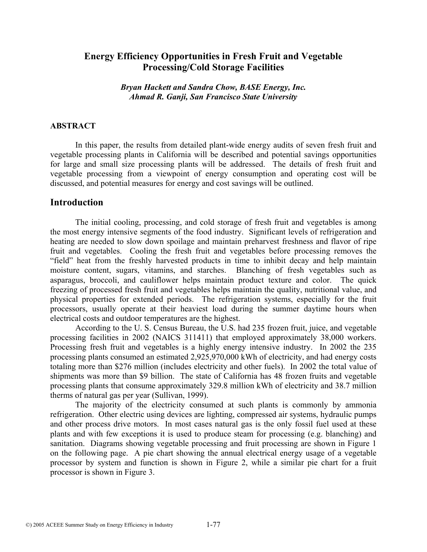# **Energy Efficiency Opportunities in Fresh Fruit and Vegetable Processing/Cold Storage Facilities**

*Bryan Hackett and Sandra Chow, BASE Energy, Inc. Ahmad R. Ganji, San Francisco State University* 

#### **ABSTRACT**

In this paper, the results from detailed plant-wide energy audits of seven fresh fruit and vegetable processing plants in California will be described and potential savings opportunities for large and small size processing plants will be addressed. The details of fresh fruit and vegetable processing from a viewpoint of energy consumption and operating cost will be discussed, and potential measures for energy and cost savings will be outlined.

#### **Introduction**

The initial cooling, processing, and cold storage of fresh fruit and vegetables is among the most energy intensive segments of the food industry. Significant levels of refrigeration and heating are needed to slow down spoilage and maintain preharvest freshness and flavor of ripe fruit and vegetables. Cooling the fresh fruit and vegetables before processing removes the "field" heat from the freshly harvested products in time to inhibit decay and help maintain moisture content, sugars, vitamins, and starches. Blanching of fresh vegetables such as asparagus, broccoli, and cauliflower helps maintain product texture and color. The quick freezing of processed fresh fruit and vegetables helps maintain the quality, nutritional value, and physical properties for extended periods. The refrigeration systems, especially for the fruit processors, usually operate at their heaviest load during the summer daytime hours when electrical costs and outdoor temperatures are the highest.

According to the U. S. Census Bureau, the U.S. had 235 frozen fruit, juice, and vegetable processing facilities in 2002 (NAICS 311411) that employed approximately 38,000 workers. Processing fresh fruit and vegetables is a highly energy intensive industry. In 2002 the 235 processing plants consumed an estimated 2,925,970,000 kWh of electricity, and had energy costs totaling more than \$276 million (includes electricity and other fuels). In 2002 the total value of shipments was more than \$9 billion. The state of California has 48 frozen fruits and vegetable processing plants that consume approximately 329.8 million kWh of electricity and 38.7 million therms of natural gas per year (Sullivan, 1999).

The majority of the electricity consumed at such plants is commonly by ammonia refrigeration. Other electric using devices are lighting, compressed air systems, hydraulic pumps and other process drive motors. In most cases natural gas is the only fossil fuel used at these plants and with few exceptions it is used to produce steam for processing (e.g. blanching) and sanitation. Diagrams showing vegetable processing and fruit processing are shown in Figure 1 on the following page. A pie chart showing the annual electrical energy usage of a vegetable processor by system and function is shown in Figure 2, while a similar pie chart for a fruit processor is shown in Figure 3.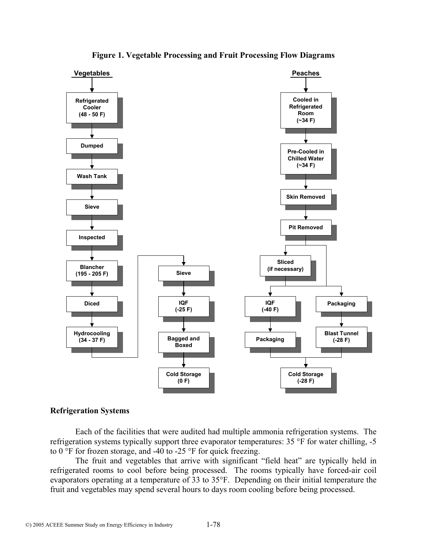

**Figure 1. Vegetable Processing and Fruit Processing Flow Diagrams**

## **Refrigeration Systems**

Each of the facilities that were audited had multiple ammonia refrigeration systems. The refrigeration systems typically support three evaporator temperatures: 35 °F for water chilling, -5 to  $0^{\circ}$ F for frozen storage, and -40 to -25 °F for quick freezing.

The fruit and vegetables that arrive with significant "field heat" are typically held in refrigerated rooms to cool before being processed. The rooms typically have forced-air coil evaporators operating at a temperature of 33 to 35°F. Depending on their initial temperature the fruit and vegetables may spend several hours to days room cooling before being processed.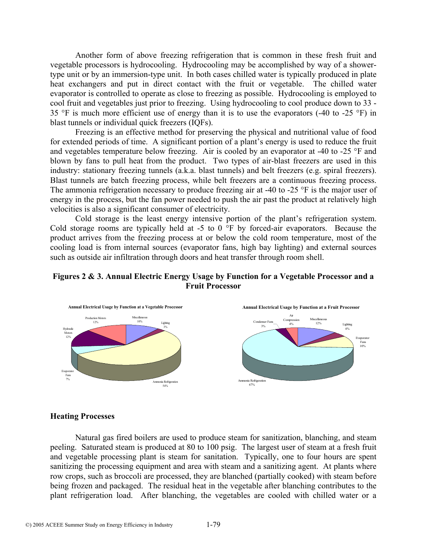Another form of above freezing refrigeration that is common in these fresh fruit and vegetable processors is hydrocooling. Hydrocooling may be accomplished by way of a showertype unit or by an immersion-type unit. In both cases chilled water is typically produced in plate heat exchangers and put in direct contact with the fruit or vegetable. The chilled water evaporator is controlled to operate as close to freezing as possible. Hydrocooling is employed to cool fruit and vegetables just prior to freezing. Using hydrocooling to cool produce down to 33 - 35 °F is much more efficient use of energy than it is to use the evaporators (-40 to -25 °F) in blast tunnels or individual quick freezers (IQFs).

Freezing is an effective method for preserving the physical and nutritional value of food for extended periods of time. A significant portion of a plant's energy is used to reduce the fruit and vegetables temperature below freezing. Air is cooled by an evaporator at -40 to -25 °F and blown by fans to pull heat from the product. Two types of air-blast freezers are used in this industry: stationary freezing tunnels (a.k.a. blast tunnels) and belt freezers (e.g. spiral freezers). Blast tunnels are batch freezing process, while belt freezers are a continuous freezing process. The ammonia refrigeration necessary to produce freezing air at -40 to -25 °F is the major user of energy in the process, but the fan power needed to push the air past the product at relatively high velocities is also a significant consumer of electricity.

Cold storage is the least energy intensive portion of the plant's refrigeration system. Cold storage rooms are typically held at -5 to  $0<sup>o</sup>F$  by forced-air evaporators. Because the product arrives from the freezing process at or below the cold room temperature, most of the cooling load is from internal sources (evaporator fans, high bay lighting) and external sources such as outside air infiltration through doors and heat transfer through room shell.

## **Figures 2 & 3. Annual Electric Energy Usage by Function for a Vegetable Processor and a Fruit Processor**



#### **Heating Processes**

Natural gas fired boilers are used to produce steam for sanitization, blanching, and steam peeling. Saturated steam is produced at 80 to 100 psig. The largest user of steam at a fresh fruit and vegetable processing plant is steam for sanitation. Typically, one to four hours are spent sanitizing the processing equipment and area with steam and a sanitizing agent. At plants where row crops, such as broccoli are processed, they are blanched (partially cooked) with steam before being frozen and packaged. The residual heat in the vegetable after blanching contributes to the plant refrigeration load. After blanching, the vegetables are cooled with chilled water or a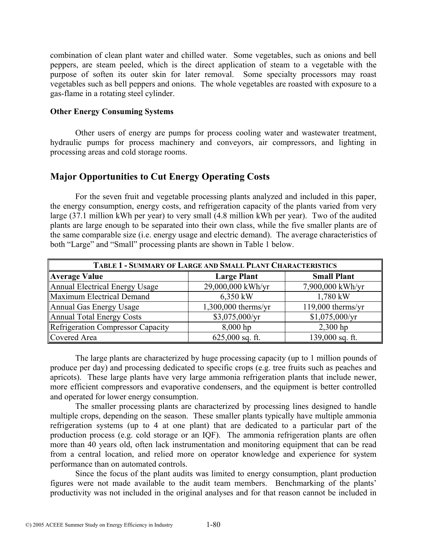combination of clean plant water and chilled water. Some vegetables, such as onions and bell peppers, are steam peeled, which is the direct application of steam to a vegetable with the purpose of soften its outer skin for later removal. Some specialty processors may roast vegetables such as bell peppers and onions. The whole vegetables are roasted with exposure to a gas-flame in a rotating steel cylinder.

#### **Other Energy Consuming Systems**

Other users of energy are pumps for process cooling water and wastewater treatment, hydraulic pumps for process machinery and conveyors, air compressors, and lighting in processing areas and cold storage rooms.

# **Major Opportunities to Cut Energy Operating Costs**

For the seven fruit and vegetable processing plants analyzed and included in this paper, the energy consumption, energy costs, and refrigeration capacity of the plants varied from very large (37.1 million kWh per year) to very small (4.8 million kWh per year). Two of the audited plants are large enough to be separated into their own class, while the five smaller plants are of the same comparable size (i.e. energy usage and electric demand). The average characteristics of both "Large" and "Small" processing plants are shown in Table 1 below.

| TABLE 1 - SUMMARY OF LARGE AND SMALL PLANT CHARACTERISTICS |                       |                     |  |
|------------------------------------------------------------|-----------------------|---------------------|--|
| <b>Average Value</b>                                       | <b>Large Plant</b>    | <b>Small Plant</b>  |  |
| Annual Electrical Energy Usage                             | 29,000,000 kWh/yr     | 7,900,000 kWh/yr    |  |
| Maximum Electrical Demand                                  | 6,350 kW              | 1,780 kW            |  |
| Annual Gas Energy Usage                                    | $1,300,000$ therms/yr | $119,000$ therms/yr |  |
| Annual Total Energy Costs                                  | \$3,075,000/yr        | \$1,075,000/yr      |  |
| Refrigeration Compressor Capacity                          | $8,000$ hp            | $2,300$ hp          |  |
| Covered Area                                               | $625,000$ sq. ft.     | 139,000 sq. ft.     |  |

The large plants are characterized by huge processing capacity (up to 1 million pounds of produce per day) and processing dedicated to specific crops (e.g. tree fruits such as peaches and apricots). These large plants have very large ammonia refrigeration plants that include newer, more efficient compressors and evaporative condensers, and the equipment is better controlled and operated for lower energy consumption.

The smaller processing plants are characterized by processing lines designed to handle multiple crops, depending on the season. These smaller plants typically have multiple ammonia refrigeration systems (up to 4 at one plant) that are dedicated to a particular part of the production process (e.g. cold storage or an IQF). The ammonia refrigeration plants are often more than 40 years old, often lack instrumentation and monitoring equipment that can be read from a central location, and relied more on operator knowledge and experience for system performance than on automated controls.

Since the focus of the plant audits was limited to energy consumption, plant production figures were not made available to the audit team members. Benchmarking of the plants' productivity was not included in the original analyses and for that reason cannot be included in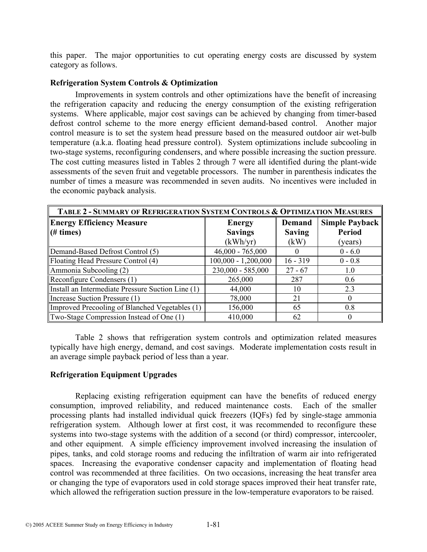this paper. The major opportunities to cut operating energy costs are discussed by system category as follows.

## **Refrigeration System Controls & Optimization**

Improvements in system controls and other optimizations have the benefit of increasing the refrigeration capacity and reducing the energy consumption of the existing refrigeration systems. Where applicable, major cost savings can be achieved by changing from timer-based defrost control scheme to the more energy efficient demand-based control. Another major control measure is to set the system head pressure based on the measured outdoor air wet-bulb temperature (a.k.a. floating head pressure control). System optimizations include subcooling in two-stage systems, reconfiguring condensers, and where possible increasing the suction pressure. The cost cutting measures listed in Tables 2 through 7 were all identified during the plant-wide assessments of the seven fruit and vegetable processors. The number in parenthesis indicates the number of times a measure was recommended in seven audits. No incentives were included in the economic payback analysis.

| TABLE 2 - SUMMARY OF REFRIGERATION SYSTEM CONTROLS & OPTIMIZATION MEASURES |                       |               |                |
|----------------------------------------------------------------------------|-----------------------|---------------|----------------|
| <b>Energy Efficiency Measure</b>                                           | <b>Energy</b>         | Demand        | Simple Payback |
| (# times)                                                                  | <b>Savings</b>        | <b>Saving</b> | <b>Period</b>  |
|                                                                            | (kWh/yr)              | (kW)          | (years)        |
| Demand-Based Defrost Control (5)                                           | $46,000 - 765,000$    |               | $0 - 6.0$      |
| Floating Head Pressure Control (4)                                         | $100,000 - 1,200,000$ | $16 - 319$    | $0 - 0.8$      |
| Ammonia Subcooling (2)                                                     | 230,000 - 585,000     | $27 - 67$     | 1.0            |
| Reconfigure Condensers (1)                                                 | 265,000               | 287           | 0.6            |
| Install an Intermediate Pressure Suction Line (1)                          | 44,000                | 10            | 2.3            |
| Increase Suction Pressure (1)                                              | 78,000                | 21            | 0              |
| Improved Precooling of Blanched Vegetables (1)                             | 156,000               | 65            | 0.8            |
| Two-Stage Compression Instead of One (1)                                   | 410,000               | 62            |                |

Table 2 shows that refrigeration system controls and optimization related measures typically have high energy, demand, and cost savings. Moderate implementation costs result in an average simple payback period of less than a year.

## **Refrigeration Equipment Upgrades**

Replacing existing refrigeration equipment can have the benefits of reduced energy consumption, improved reliability, and reduced maintenance costs. Each of the smaller processing plants had installed individual quick freezers (IQFs) fed by single-stage ammonia refrigeration system. Although lower at first cost, it was recommended to reconfigure these systems into two-stage systems with the addition of a second (or third) compressor, intercooler, and other equipment. A simple efficiency improvement involved increasing the insulation of pipes, tanks, and cold storage rooms and reducing the infiltration of warm air into refrigerated spaces. Increasing the evaporative condenser capacity and implementation of floating head control was recommended at three facilities. On two occasions, increasing the heat transfer area or changing the type of evaporators used in cold storage spaces improved their heat transfer rate, which allowed the refrigeration suction pressure in the low-temperature evaporators to be raised.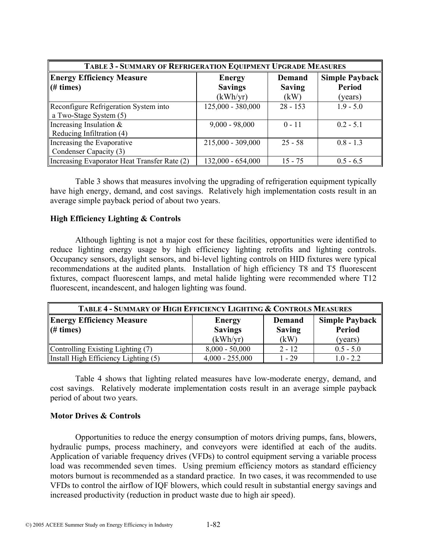| TABLE 3 - SUMMARY OF REFRIGERATION EQUIPMENT UPGRADE MEASURES |                     |               |                |
|---------------------------------------------------------------|---------------------|---------------|----------------|
| <b>Energy Efficiency Measure</b>                              | <b>Energy</b>       | <b>Demand</b> | Simple Payback |
| $\parallel$ (# times)                                         | <b>Savings</b>      | <b>Saving</b> | <b>Period</b>  |
|                                                               | (kWh/yr)            | (kW)          | (years)        |
| Reconfigure Refrigeration System into                         | $125,000 - 380,000$ | $28 - 153$    | $1.9 - 5.0$    |
| $\vert$ a Two-Stage System (5)                                |                     |               |                |
| Increasing Insulation $\&$                                    | $9,000 - 98,000$    | $0 - 11$      | $0.2 - 5.1$    |
| Reducing Infiltration $(4)$                                   |                     |               |                |
| Increasing the Evaporative                                    | $215,000 - 309,000$ | $25 - 58$     | $0.8 - 1.3$    |
| Condenser Capacity (3)                                        |                     |               |                |
| Increasing Evaporator Heat Transfer Rate (2)                  | $132,000 - 654,000$ | $15 - 75$     | $0.5 - 6.5$    |

Table 3 shows that measures involving the upgrading of refrigeration equipment typically have high energy, demand, and cost savings. Relatively high implementation costs result in an average simple payback period of about two years.

## **High Efficiency Lighting & Controls**

Although lighting is not a major cost for these facilities, opportunities were identified to reduce lighting energy usage by high efficiency lighting retrofits and lighting controls. Occupancy sensors, daylight sensors, and bi-level lighting controls on HID fixtures were typical recommendations at the audited plants. Installation of high efficiency T8 and T5 fluorescent fixtures, compact fluorescent lamps, and metal halide lighting were recommended where T12 fluorescent, incandescent, and halogen lighting was found.

| <b>TABLE 4 - SUMMARY OF HIGH EFFICIENCY LIGHTING &amp; CONTROLS MEASURES</b> |                                             |                                 |                                        |
|------------------------------------------------------------------------------|---------------------------------------------|---------------------------------|----------------------------------------|
| <b>Energy Efficiency Measure</b><br># times)                                 | <b>Energy</b><br><b>Savings</b><br>(kWh/yr) | Demand<br><b>Saving</b><br>(kW) | <b>Simple Payback</b><br><b>Period</b> |
| Controlling Existing Lighting (7)                                            | $8,000 - 50,000$                            | $2 - 12$                        | (years)<br>$0.5 - 5.0$                 |
| Install High Efficiency Lighting (5)                                         | $4,000 - 255,000$                           | 1 - 29                          | $1.0 - 2.2$                            |

Table 4 shows that lighting related measures have low-moderate energy, demand, and cost savings. Relatively moderate implementation costs result in an average simple payback period of about two years.

## **Motor Drives & Controls**

Opportunities to reduce the energy consumption of motors driving pumps, fans, blowers, hydraulic pumps, process machinery, and conveyors were identified at each of the audits. Application of variable frequency drives (VFDs) to control equipment serving a variable process load was recommended seven times. Using premium efficiency motors as standard efficiency motors burnout is recommended as a standard practice. In two cases, it was recommended to use VFDs to control the airflow of IQF blowers, which could result in substantial energy savings and increased productivity (reduction in product waste due to high air speed).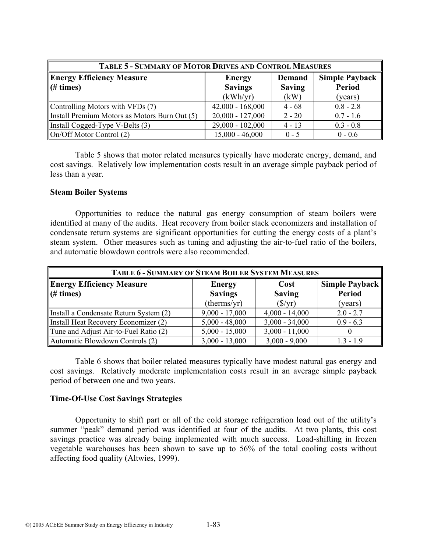| <b>TABLE 5 - SUMMARY OF MOTOR DRIVES AND CONTROL MEASURES</b> |                                 |                         |                                        |
|---------------------------------------------------------------|---------------------------------|-------------------------|----------------------------------------|
| <b>Energy Efficiency Measure</b><br>$(\# \times)$             | <b>Energy</b><br><b>Savings</b> | Demand<br><b>Saving</b> | <b>Simple Payback</b><br><b>Period</b> |
|                                                               | (kWh/yr)                        | (kW)                    | (years)                                |
| Controlling Motors with VFDs (7)                              | $42,000 - 168,000$              | $4 - 68$                | $0.8 - 2.8$                            |
| Install Premium Motors as Motors Burn Out (5)                 | $20,000 - 127,000$              | $2 - 20$                | $0.7 - 1.6$                            |
| Install Cogged-Type V-Belts (3)                               | 29,000 - 102,000                | $4 - 13$                | $0.3 - 0.8$                            |
| On/Off Motor Control (2)                                      | $15,000 - 46,000$               | $0 - 5$                 | $0 - 0.6$                              |

Table 5 shows that motor related measures typically have moderate energy, demand, and cost savings. Relatively low implementation costs result in an average simple payback period of less than a year.

#### **Steam Boiler Systems**

Opportunities to reduce the natural gas energy consumption of steam boilers were identified at many of the audits. Heat recovery from boiler stack economizers and installation of condensate return systems are significant opportunities for cutting the energy costs of a plant's steam system. Other measures such as tuning and adjusting the air-to-fuel ratio of the boilers, and automatic blowdown controls were also recommended.

| <b>TABLE 6 - SUMMARY OF STEAM BOILER SYSTEM MEASURES</b> |                                 |                         |                                 |
|----------------------------------------------------------|---------------------------------|-------------------------|---------------------------------|
| <b>Energy Efficiency Measure</b><br>$(\# \times)$        | <b>Energy</b><br><b>Savings</b> | Cost<br><b>Saving</b>   | Simple Payback<br><b>Period</b> |
|                                                          | (therms/yr)                     | $(\frac{\sqrt{3}}{yr})$ | (years)                         |
| Install a Condensate Return System (2)                   | $9,000 - 17,000$                | $4,000 - 14,000$        | $2.0 - 2.7$                     |
| Install Heat Recovery Economizer (2)                     | $5,000 - 48,000$                | $3,000 - 34,000$        | $0.9 - 6.3$                     |
| Tune and Adjust Air-to-Fuel Ratio (2)                    | $5,000 - 15,000$                | $3,000 - 11,000$        |                                 |
| Automatic Blowdown Controls (2)                          | $3,000 - 13,000$                | $3,000 - 9,000$         | $1.3 - 1.9$                     |

Table 6 shows that boiler related measures typically have modest natural gas energy and cost savings. Relatively moderate implementation costs result in an average simple payback period of between one and two years.

## **Time-Of-Use Cost Savings Strategies**

Opportunity to shift part or all of the cold storage refrigeration load out of the utility's summer "peak" demand period was identified at four of the audits. At two plants, this cost savings practice was already being implemented with much success. Load-shifting in frozen vegetable warehouses has been shown to save up to 56% of the total cooling costs without affecting food quality (Altwies, 1999).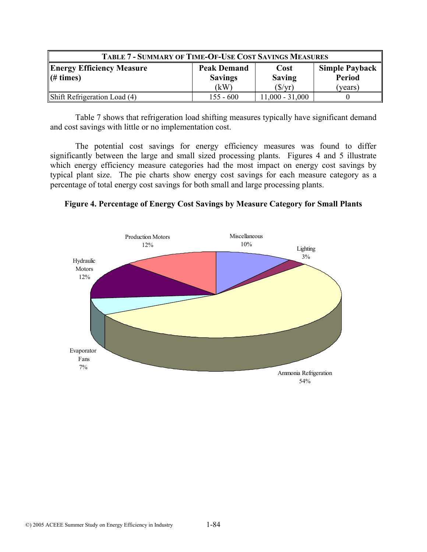| <b>TABLE 7 - SUMMARY OF TIME-OF-USE COST SAVINGS MEASURES</b>                           |                |                   |               |
|-----------------------------------------------------------------------------------------|----------------|-------------------|---------------|
| <b>Energy Efficiency Measure</b><br><b>Simple Payback</b><br><b>Peak Demand</b><br>Cost |                |                   |               |
| $\parallel$ (# times)                                                                   | <b>Savings</b> | <b>Saving</b>     | <b>Period</b> |
|                                                                                         | (kW)           | $(\frac{f}{f})$   | (years)       |
| Shift Refrigeration Load (4)                                                            | $155 - 600$    | $11,000 - 31,000$ |               |

Table 7 shows that refrigeration load shifting measures typically have significant demand and cost savings with little or no implementation cost.

The potential cost savings for energy efficiency measures was found to differ significantly between the large and small sized processing plants. Figures 4 and 5 illustrate which energy efficiency measure categories had the most impact on energy cost savings by typical plant size. The pie charts show energy cost savings for each measure category as a percentage of total energy cost savings for both small and large processing plants.

**Figure 4. Percentage of Energy Cost Savings by Measure Category for Small Plants**

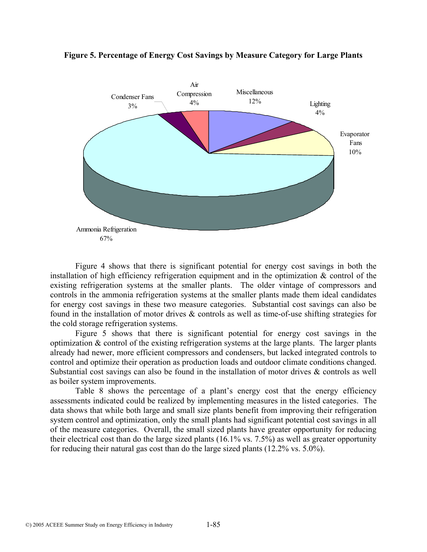

#### **Figure 5. Percentage of Energy Cost Savings by Measure Category for Large Plants**

Figure 4 shows that there is significant potential for energy cost savings in both the installation of high efficiency refrigeration equipment and in the optimization & control of the existing refrigeration systems at the smaller plants. The older vintage of compressors and controls in the ammonia refrigeration systems at the smaller plants made them ideal candidates for energy cost savings in these two measure categories. Substantial cost savings can also be found in the installation of motor drives & controls as well as time-of-use shifting strategies for the cold storage refrigeration systems.

Figure 5 shows that there is significant potential for energy cost savings in the optimization & control of the existing refrigeration systems at the large plants. The larger plants already had newer, more efficient compressors and condensers, but lacked integrated controls to control and optimize their operation as production loads and outdoor climate conditions changed. Substantial cost savings can also be found in the installation of motor drives & controls as well as boiler system improvements.

Table 8 shows the percentage of a plant's energy cost that the energy efficiency assessments indicated could be realized by implementing measures in the listed categories. The data shows that while both large and small size plants benefit from improving their refrigeration system control and optimization, only the small plants had significant potential cost savings in all of the measure categories. Overall, the small sized plants have greater opportunity for reducing their electrical cost than do the large sized plants (16.1% vs. 7.5%) as well as greater opportunity for reducing their natural gas cost than do the large sized plants (12.2% vs. 5.0%).